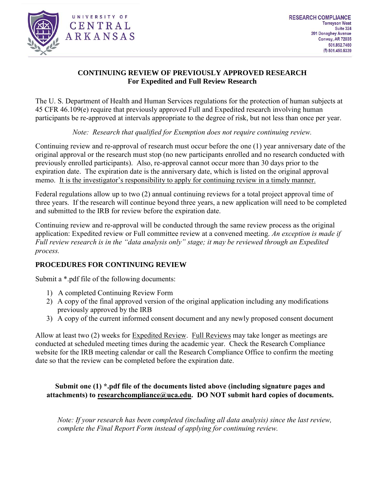

# **CONTINUING REVIEW OF PREVIOUSLY APPROVED RESEARCH For Expedited and Full Review Research**

The U. S. Department of Health and Human Services regulations for the protection of human subjects at 45 CFR 46.109(e) require that previously approved Full and Expedited research involving human participants be re-approved at intervals appropriate to the degree of risk, but not less than once per year.

*Note: Research that qualified for Exemption does not require continuing review.*

Continuing review and re-approval of research must occur before the one (1) year anniversary date of the original approval or the research must stop (no new participants enrolled and no research conducted with previously enrolled participants). Also, re-approval cannot occur more than 30 days prior to the expiration date. The expiration date is the anniversary date, which is listed on the original approval memo. It is the investigator's responsibility to apply for continuing review in a timely manner.

Federal regulations allow up to two (2) annual continuing reviews for a total project approval time of three years. If the research will continue beyond three years, a new application will need to be completed and submitted to the IRB for review before the expiration date.

Continuing review and re-approval will be conducted through the same review process as the original application: Expedited review or Full committee review at a convened meeting. *An exception is made if Full review research is in the "data analysis only" stage; it may be reviewed through an Expedited process.*

## **PROCEDURES FOR CONTINUING REVIEW**

Submit a \*.pdf file of the following documents:

- 1) A completed Continuing Review Form
- 2) A copy of the final approved version of the original application including any modifications previously approved by the IRB
- 3) A copy of the current informed consent document and any newly proposed consent document

Allow at least two (2) weeks for Expedited Review. Full Reviews may take longer as meetings are conducted at scheduled meeting times during the academic year. Check the Research Compliance website for the IRB meeting calendar or call the Research Compliance Office to confirm the meeting date so that the review can be completed before the expiration date.

## **Submit one (1) \*.pdf file of the documents listed above (including signature pages and attachments) to researchcompliance@uca.edu. DO NOT submit hard copies of documents.**

*Note: If your research has been completed (including all data analysis) since the last review, complete the Final Report Form instead of applying for continuing review.*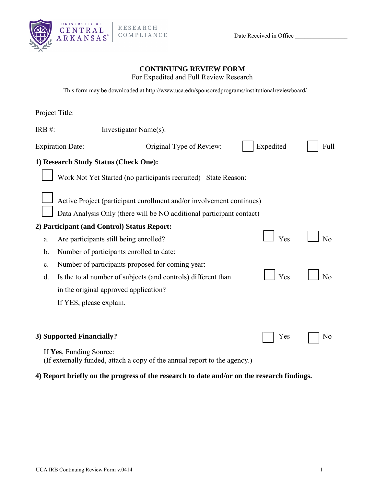

Date Received in Office

### **CONTINUING REVIEW FORM**

For Expedited and Full Review Research

This form may be downloaded at http://www.uc[a.edu/sponsoredprograms/institutionalrevie](http://www.uca.edu/sponsored%20programs/)wboard/

| Project Title:                              |                                                                           |           |      |  |  |  |
|---------------------------------------------|---------------------------------------------------------------------------|-----------|------|--|--|--|
| IRB $#$ :                                   | Investigator Name(s):                                                     |           |      |  |  |  |
| <b>Expiration Date:</b>                     | Original Type of Review:                                                  | Expedited | Full |  |  |  |
| 1) Research Study Status (Check One):       |                                                                           |           |      |  |  |  |
|                                             | Work Not Yet Started (no participants recruited) State Reason:            |           |      |  |  |  |
|                                             | Active Project (participant enrollment and/or involvement continues)      |           |      |  |  |  |
|                                             | Data Analysis Only (there will be NO additional participant contact)      |           |      |  |  |  |
| 2) Participant (and Control) Status Report: |                                                                           |           |      |  |  |  |
| a.                                          | Are participants still being enrolled?                                    | Yes       | No   |  |  |  |
| b.                                          | Number of participants enrolled to date:                                  |           |      |  |  |  |
| c.                                          | Number of participants proposed for coming year:                          |           |      |  |  |  |
| d.                                          | Is the total number of subjects (and controls) different than             | Yes       | No   |  |  |  |
|                                             | in the original approved application?                                     |           |      |  |  |  |
| If YES, please explain.                     |                                                                           |           |      |  |  |  |
|                                             |                                                                           |           |      |  |  |  |
| 3) Supported Financially?                   |                                                                           | Yes       | No   |  |  |  |
| If Yes, Funding Source:                     | (If externally funded, attach a copy of the annual report to the agency.) |           |      |  |  |  |

### **4) Report briefly on the progress of the research to date and/or on the research findings.**